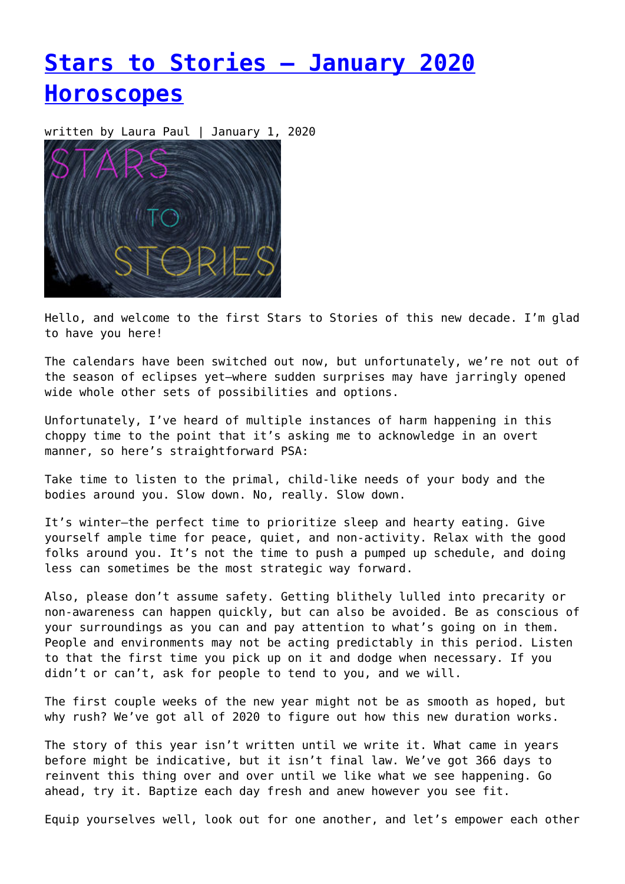# **[Stars to Stories – January 2020](https://entropymag.org/stars-to-stories-january-horoscopes-2020/) [Horoscopes](https://entropymag.org/stars-to-stories-january-horoscopes-2020/)**

written by Laura Paul | January 1, 2020



Hello, and welcome to the first Stars to Stories of this new decade. I'm glad to have you here!

The calendars have been switched out now, but unfortunately, we're not out of the season of eclipses yet—where sudden surprises may have jarringly opened wide whole other sets of possibilities and options.

Unfortunately, I've heard of multiple instances of harm happening in this choppy time to the point that it's asking me to acknowledge in an overt manner, so here's straightforward PSA:

Take time to listen to the primal, child-like needs of your body and the bodies around you. Slow down. No, really. Slow down.

It's winter—the perfect time to prioritize sleep and hearty eating. Give yourself ample time for peace, quiet, and non-activity. Relax with the good folks around you. It's not the time to push a pumped up schedule, and doing less can sometimes be the most strategic way forward.

Also, please don't assume safety. Getting blithely lulled into precarity or non-awareness can happen quickly, but can also be avoided. Be as conscious of your surroundings as you can and pay attention to what's going on in them. People and environments may not be acting predictably in this period. Listen to that the first time you pick up on it and dodge when necessary. If you didn't or can't, ask for people to tend to you, and we will.

The first couple weeks of the new year might not be as smooth as hoped, but why rush? We've got all of 2020 to figure out how this new duration works.

The story of this year isn't written until we write it. What came in years before might be indicative, but it isn't final law. We've got 366 days to reinvent this thing over and over until we like what we see happening. Go ahead, try it. Baptize each day fresh and anew however you see fit.

Equip yourselves well, look out for one another, and let's empower each other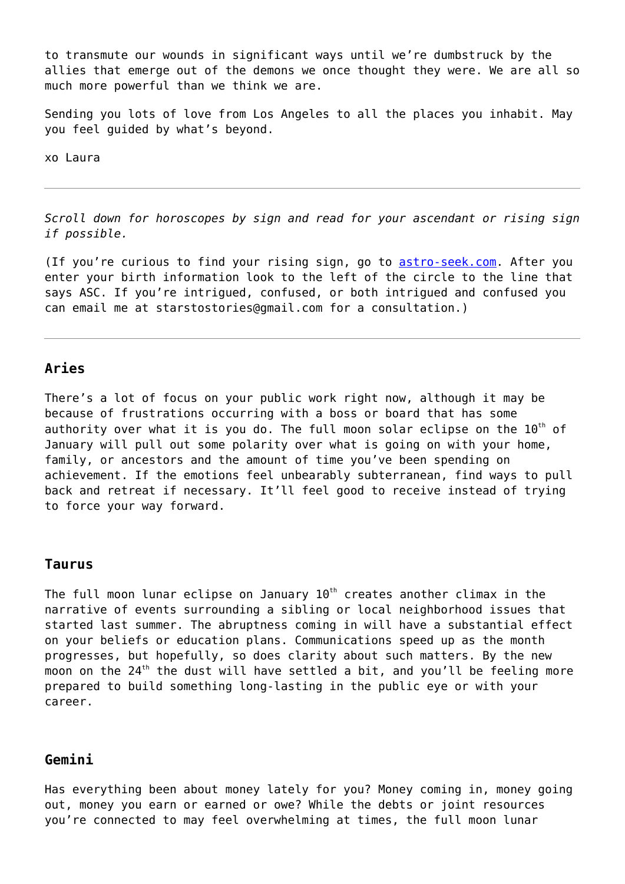to transmute our wounds in significant ways until we're dumbstruck by the allies that emerge out of the demons we once thought they were. We are all so much more powerful than we think we are.

Sending you lots of love from Los Angeles to all the places you inhabit. May you feel guided by what's beyond.

xo Laura

*Scroll down for horoscopes by sign and read for your ascendant or rising sign if possible.*

(If you're curious to find your rising sign, go to [astro-seek.com.](https://entropymag.org/astro-seek.com) After you enter your birth information look to the left of the circle to the line that says ASC. If you're intrigued, confused, or both intrigued and confused you can email me at starstostories@gmail.com for a consultation.)

### **Aries**

There's a lot of focus on your public work right now, although it may be because of frustrations occurring with a boss or board that has some authority over what it is you do. The full moon solar eclipse on the  $10^{th}$  of January will pull out some polarity over what is going on with your home, family, or ancestors and the amount of time you've been spending on achievement. If the emotions feel unbearably subterranean, find ways to pull back and retreat if necessary. It'll feel good to receive instead of trying to force your way forward.

#### **Taurus**

The full moon lunar eclipse on January  $10<sup>th</sup>$  creates another climax in the narrative of events surrounding a sibling or local neighborhood issues that started last summer. The abruptness coming in will have a substantial effect on your beliefs or education plans. Communications speed up as the month progresses, but hopefully, so does clarity about such matters. By the new moon on the  $24<sup>th</sup>$  the dust will have settled a bit, and you'll be feeling more prepared to build something long-lasting in the public eye or with your career.

#### **Gemini**

Has everything been about money lately for you? Money coming in, money going out, money you earn or earned or owe? While the debts or joint resources you're connected to may feel overwhelming at times, the full moon lunar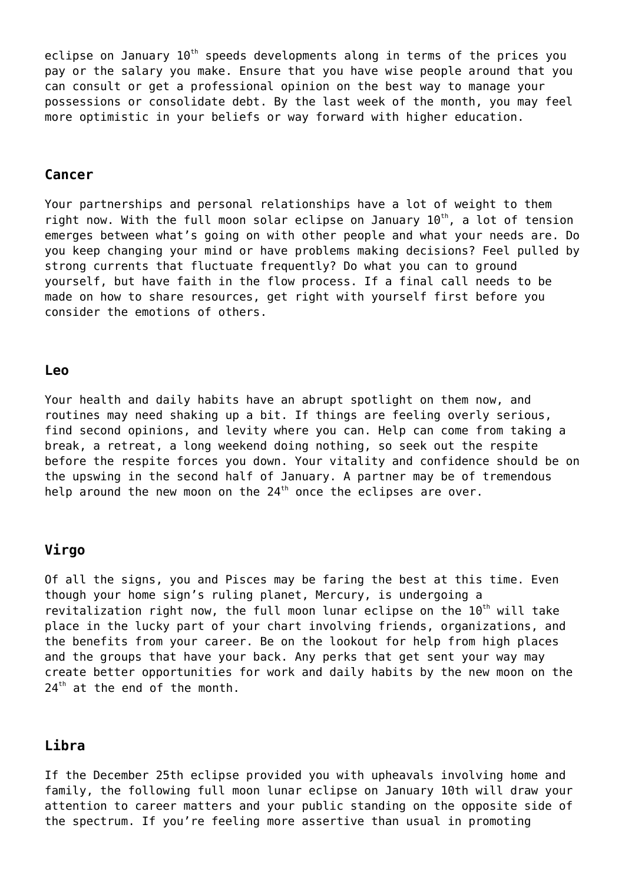eclipse on January  $10<sup>th</sup>$  speeds developments along in terms of the prices you pay or the salary you make. Ensure that you have wise people around that you can consult or get a professional opinion on the best way to manage your possessions or consolidate debt. By the last week of the month, you may feel more optimistic in your beliefs or way forward with higher education.

#### **Cancer**

Your partnerships and personal relationships have a lot of weight to them right now. With the full moon solar eclipse on January  $10^{th}$ , a lot of tension emerges between what's going on with other people and what your needs are. Do you keep changing your mind or have problems making decisions? Feel pulled by strong currents that fluctuate frequently? Do what you can to ground yourself, but have faith in the flow process. If a final call needs to be made on how to share resources, get right with yourself first before you consider the emotions of others.

#### **Leo**

Your health and daily habits have an abrupt spotlight on them now, and routines may need shaking up a bit. If things are feeling overly serious, find second opinions, and levity where you can. Help can come from taking a break, a retreat, a long weekend doing nothing, so seek out the respite before the respite forces you down. Your vitality and confidence should be on the upswing in the second half of January. A partner may be of tremendous help around the new moon on the  $24<sup>th</sup>$  once the eclipses are over.

#### **Virgo**

Of all the signs, you and Pisces may be faring the best at this time. Even though your home sign's ruling planet, Mercury, is undergoing a revitalization right now, the full moon lunar eclipse on the  $10^{th}$  will take place in the lucky part of your chart involving friends, organizations, and the benefits from your career. Be on the lookout for help from high places and the groups that have your back. Any perks that get sent your way may create better opportunities for work and daily habits by the new moon on the  $24<sup>th</sup>$  at the end of the month.

### **Libra**

If the December 25th eclipse provided you with upheavals involving home and family, the following full moon lunar eclipse on January 10th will draw your attention to career matters and your public standing on the opposite side of the spectrum. If you're feeling more assertive than usual in promoting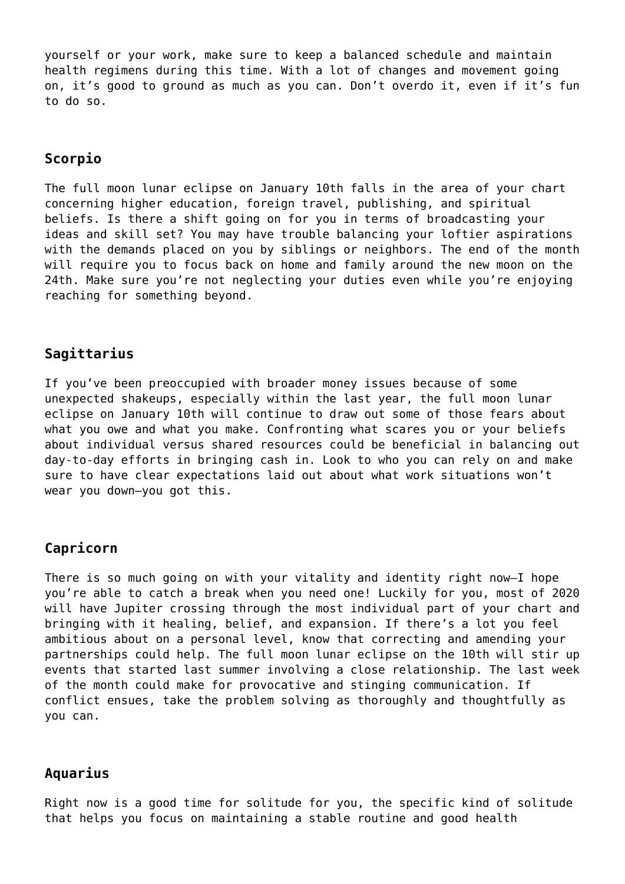yourself or your work, make sure to keep a balanced schedule and maintain health regimens during this time. With a lot of changes and movement going on, it's good to ground as much as you can. Don't overdo it, even if it's fun to do so.

## **Scorpio**

The full moon lunar eclipse on January 10th falls in the area of your chart concerning higher education, foreign travel, publishing, and spiritual beliefs. Is there a shift going on for you in terms of broadcasting your ideas and skill set? You may have trouble balancing your loftier aspirations with the demands placed on you by siblings or neighbors. The end of the month will require you to focus back on home and family around the new moon on the 24th. Make sure you're not neglecting your duties even while you're enjoying reaching for something beyond.

## **Sagittarius**

If you've been preoccupied with broader money issues because of some unexpected shakeups, especially within the last year, the full moon lunar eclipse on January 10th will continue to draw out some of those fears about what you owe and what you make. Confronting what scares you or your beliefs about individual versus shared resources could be beneficial in balancing out day-to-day efforts in bringing cash in. Look to who you can rely on and make sure to have clear expectations laid out about what work situations won't wear you down—you got this.

### **Capricorn**

There is so much going on with your vitality and identity right now—I hope you're able to catch a break when you need one! Luckily for you, most of 2020 will have Jupiter crossing through the most individual part of your chart and bringing with it healing, belief, and expansion. If there's a lot you feel ambitious about on a personal level, know that correcting and amending your partnerships could help. The full moon lunar eclipse on the 10th will stir up events that started last summer involving a close relationship. The last week of the month could make for provocative and stinging communication. If conflict ensues, take the problem solving as thoroughly and thoughtfully as you can.

#### **Aquarius**

Right now is a good time for solitude for you, the specific kind of solitude that helps you focus on maintaining a stable routine and good health